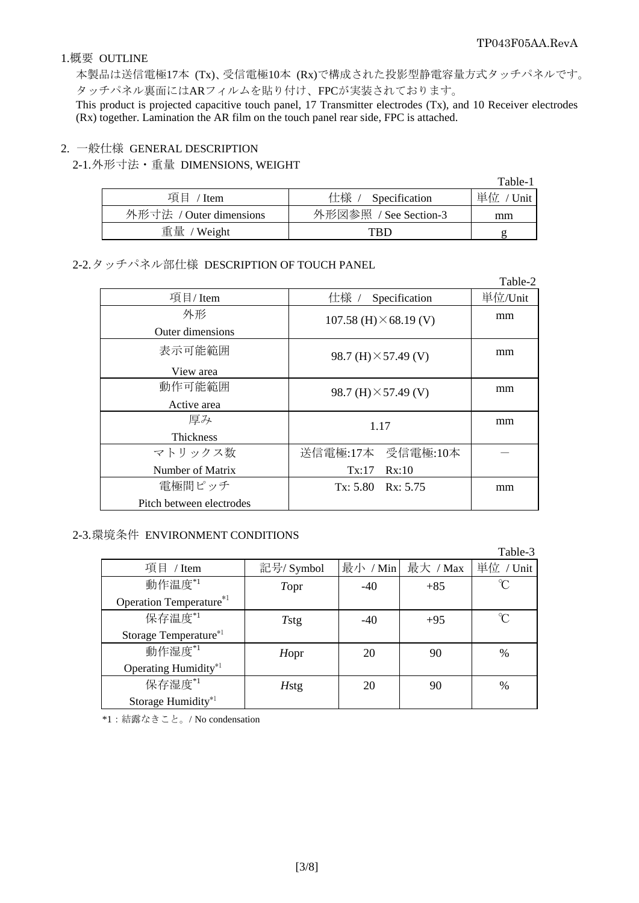#### 1.概要 OUTLINE

本製品は送信電極17本 (Tx)、受信電極10本 (Rx)で構成された投影型静電容量方式タッチパネルです。 タッチパネル裏面にはARフィルムを貼り付け、FPCが実装されております。

This product is projected capacitive touch panel, 17 Transmitter electrodes (Tx), and 10 Receiver electrodes (Rx) together. Lamination the AR film on the touch panel rear side, FPC is attached.

#### 2. 一般仕様 GENERAL DESCRIPTION

2-1. 外形寸法・重量 DIMENSIONS, WEIGHT

|                         |                       | Table-1     |
|-------------------------|-----------------------|-------------|
| 項目<br>/ Item            | 仕様 / Specification    | 単位<br>'Unit |
| 外形寸法 / Outer dimensions | 外形図参照 / See Section-3 | mm          |
| 重量 / Weight             | TRD                   |             |

2-2. タッチパネル部仕様 DESCRIPTION OF TOUCH PANEL

|                          |                               | Table-2 |
|--------------------------|-------------------------------|---------|
| 項目/Item                  | 仕様 /<br>Specification         | 単位/Unit |
| 外形                       | 107.58 (H) $\times$ 68.19 (V) | mm      |
| Outer dimensions         |                               |         |
| 表示可能範囲                   | 98.7 (H) $\times$ 57.49 (V)   | mm      |
| View area                |                               |         |
| 動作可能範囲                   | 98.7 (H) $\times$ 57.49 (V)   | mm      |
| Active area              |                               |         |
| 厚み                       | 1.17                          | mm      |
| <b>Thickness</b>         |                               |         |
| マトリックス数                  | 送信電極:17本 受信電極:10本             |         |
| Number of Matrix         | Tx:17<br>Rx:10                |         |
| 電極間ピッチ                   | $Tx: 5.80$ $Rx: 5.75$         | mm      |
| Pitch between electrodes |                               |         |

## 2-3. 環境条件 ENVIRONMENT CONDITIONS

|                                |              |          |          | Table-3   |
|--------------------------------|--------------|----------|----------|-----------|
| 項目 / Item                      | 記号/ Symbol   | 最小 / Min | 最大 / Max | 単位 / Unit |
| 動作温度*1                         | Topr         | $-40$    | $+85$    | °C        |
| Operation Temperature*1        |              |          |          |           |
| 保存温度*1                         | Tstg         | $-40$    | $+95$    | n         |
| Storage Temperature*1          |              |          |          |           |
| 動作湿度*1                         | Hopr         | 20       | 90       | %         |
| Operating Humidity*1           |              |          |          |           |
| 保存湿度*1                         | <b>H</b> stg | 20       | 90       | $\%$      |
| Storage Humidity <sup>*1</sup> |              |          |          |           |

\*1:結露なきこと。/ No condensation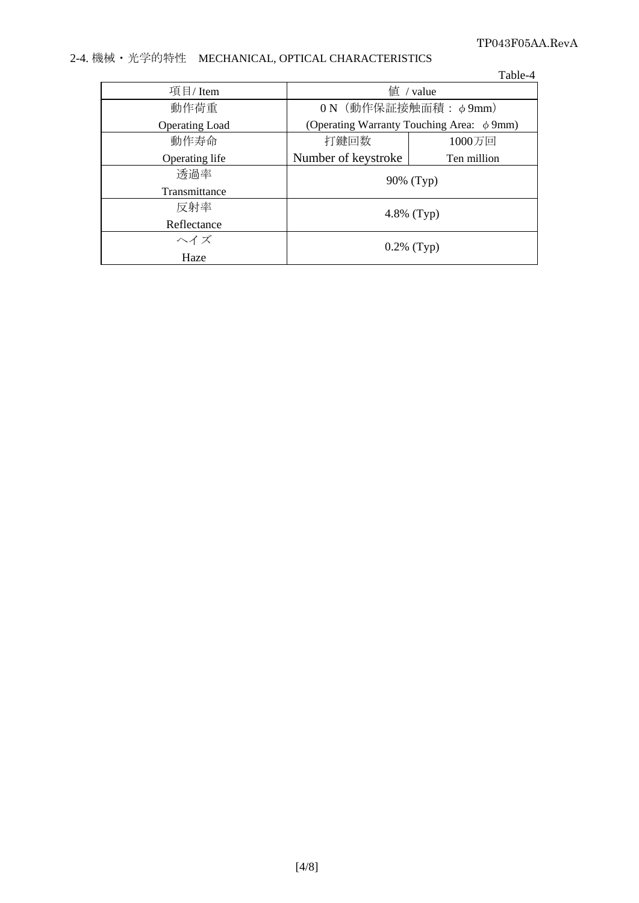## TP043F05AA.RevA

# 2-4. 機械・光学的特性 MECHANICAL, OPTICAL CHARACTERISTICS

|                       |                                          | Table-4     |
|-----------------------|------------------------------------------|-------------|
| 項目/Item               | $f$ / value                              |             |
| 動作荷重                  | 0 N (動作保証接触面積: φ9mm)                     |             |
| <b>Operating Load</b> | (Operating Warranty Touching Area: φ9mm) |             |
| 動作寿命                  | 打鍵回数                                     | 1000万回      |
| Operating life        | Number of keystroke                      | Ten million |
| 透過率                   | 90% (Typ)                                |             |
| Transmittance         |                                          |             |
| 反射率                   | 4.8% $(Typ)$                             |             |
| Reflectance           |                                          |             |
| ヘイズ                   | $0.2\%$ (Typ)                            |             |
| Haze                  |                                          |             |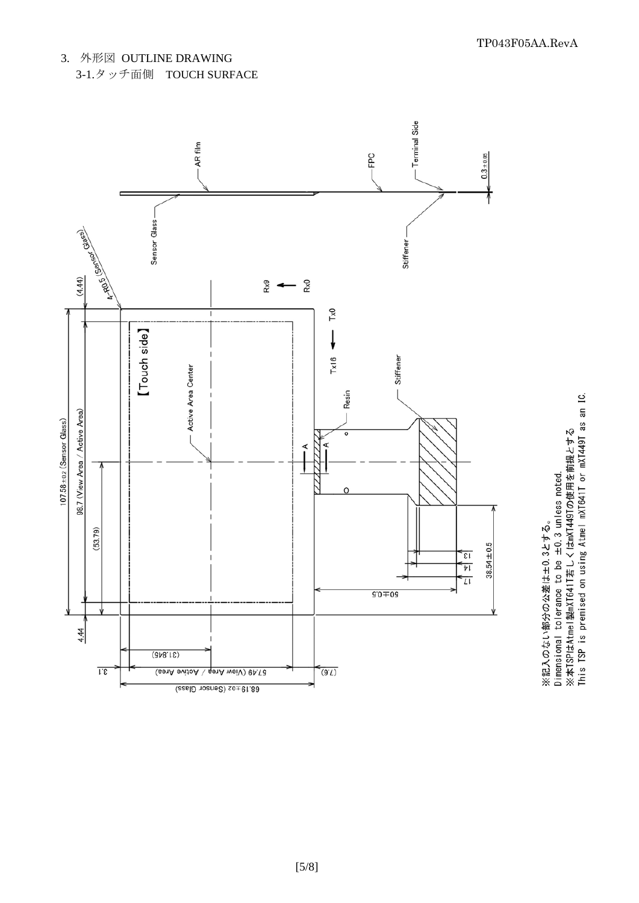



Dimensional tolerance to be ±0.3 unless noted.<br>※本TSPはAtmel製mXT641T若しくはmXT449Tの使用を前提とする<br>This TSP is premised on using Atmel mXT641T or mXT449T as an IC. ※記入のない部分の公差は±0.3とする。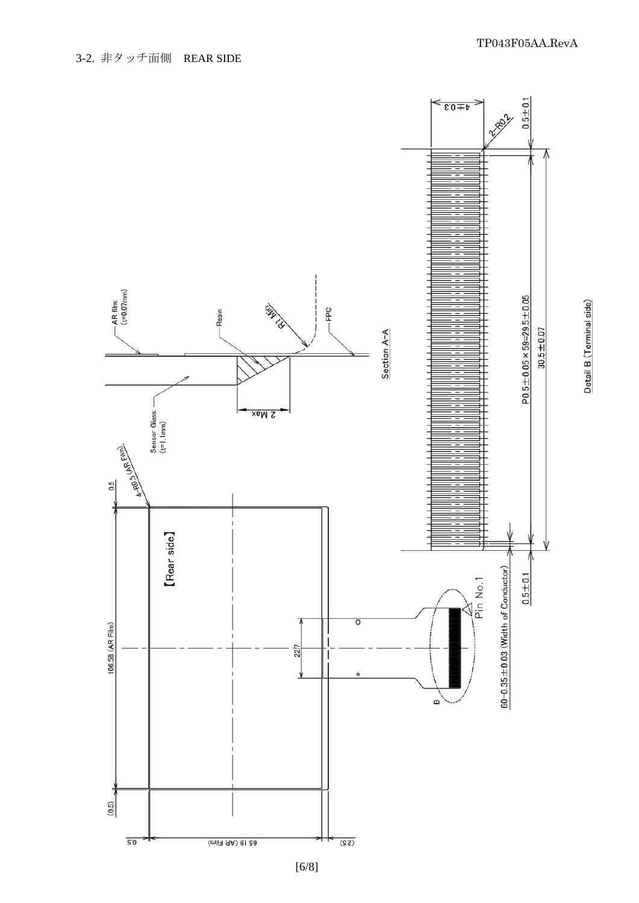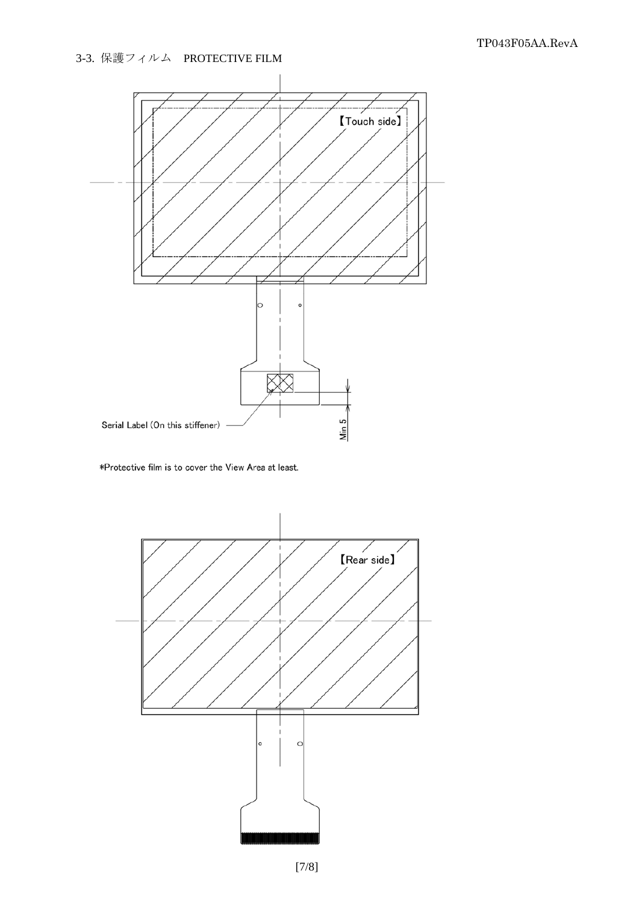# 3-3. 保護フィルム PROTECTIVE FILM



\*Protective film is to cover the View Area at least.